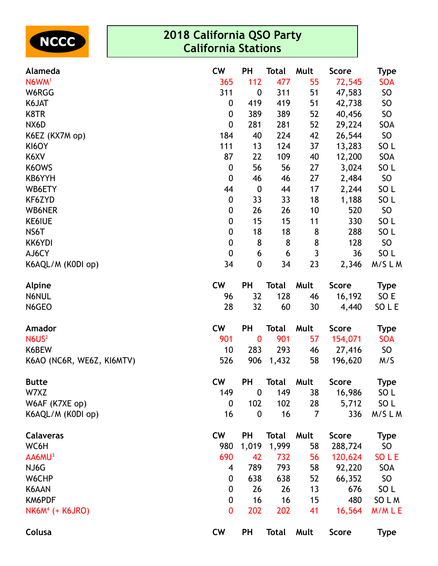| <b>INCCC</b> |
|--------------|
|--------------|

| Alameda                   | <b>CW</b>        | PH               | Total        | Mult | <b>Score</b> | Type            |
|---------------------------|------------------|------------------|--------------|------|--------------|-----------------|
| N6WM <sup>1</sup>         | 365              | 112              | 477          | 55   | 72,545       | <b>SOA</b>      |
| W6RGG                     | 311              | $\boldsymbol{0}$ | 311          | 51   | 47,583       | <b>SO</b>       |
| K6JAT                     | 0                | 419              | 419          | 51   | 42,738       | SO              |
| K8TR                      | 0                | 389              | 389          | 52   | 40,456       | <b>SO</b>       |
| NX6D                      | $\boldsymbol{0}$ | 281              | 281          | 52   | 29,224       | SOA             |
| K6EZ (KX7M op)            | 184              | 40               | 224          | 42   | 26,544       | <b>SO</b>       |
| KI6OY                     | 111              | 13               | 124          | 37   | 13,283       | SO <sub>L</sub> |
| K6XV                      | 87               | 22               | 109          | 40   | 12,200       | SOA             |
| K6OWS                     | $\boldsymbol{0}$ | 56               | 56           | 27   | 3,024        | SO <sub>L</sub> |
| KB6YYH                    | $\boldsymbol{0}$ | 46               | 46           | 27   | 2,484        | <b>SO</b>       |
| WB6ETY                    | 44               | $\boldsymbol{0}$ | 44           | 17   | 2,244        | SO <sub>L</sub> |
| KF6ZYD                    | $\boldsymbol{0}$ | 33               | 33           | 18   | 1,188        | SO <sub>L</sub> |
| <b>WB6NER</b>             | $\boldsymbol{0}$ | 26               | 26           | 10   | 520          | SO              |
| <b>KE6IUE</b>             | $\boldsymbol{0}$ | 15               | 15           | 11   | 330          | SO <sub>L</sub> |
| NS6T                      | $\boldsymbol{0}$ | 18               | 18           | 8    | 288          | SO <sub>L</sub> |
| KK6YDI                    | $\boldsymbol{0}$ | 8                | 8            | 8    | 128          | <b>SO</b>       |
| AJ6CY                     | $\boldsymbol{0}$ | 6                | 6            | 3    | 36           | SO <sub>L</sub> |
| K6AQL/M (K0DI op)         | 34               | $\boldsymbol{0}$ | 34           | 23   | 2,346        | M/SLM           |
| <b>Alpine</b>             | <b>CW</b>        | <b>PH</b>        | Total        | Mult | <b>Score</b> | <b>Type</b>     |
| N6NUL                     | 96               | 32               | 128          | 46   | 16,192       | SO E            |
| N6GEO                     | 28               | 32               | 60           | 30   | 4,440        | SO L E          |
| Amador                    | <b>CW</b>        | <b>PH</b>        | Total        | Mult | <b>Score</b> | <b>Type</b>     |
| N6US <sup>2</sup>         | 901              | $\bf{0}$         | 901          | 57   | 154,071      | <b>SOA</b>      |
| K6BEW                     | 10               | 283              | 293          | 46   | 27,416       | SO              |
| K6AO (NC6R, WE6Z, KI6MTV) | 526              | 906              | 1,432        | 58   | 196,620      | M/S             |
| <b>Butte</b>              | <b>CW</b>        | <b>PH</b>        | Total        | Mult | <b>Score</b> | <b>Type</b>     |
| W7XZ                      | 149              | $\boldsymbol{0}$ | 149          | 38   | 16,986       | SO <sub>L</sub> |
| W6AF (K7XE op)            | $\mathbf 0$      | 102              | 102          | 28   | 5,712        | SO L            |
| K6AQL/M (K0DI op)         | 16               | $\boldsymbol{0}$ | 16           | 7    | 336          | M/SLM           |
| <b>Calaveras</b>          | <b>CW</b>        | <b>PH</b>        | <b>Total</b> | Mult | <b>Score</b> | <b>Type</b>     |
| WC6H                      | 980              | 1,019            | 1,999        | 58   | 288,724      | SO              |
| AA6MU <sup>3</sup>        | 690              | 42               | 732          | 56   | 120,624      | SO L E          |
| NJ6G                      | 4                | 789              | 793          | 58   | 92,220       | SOA             |
| W6CHP                     | 0                | 638              | 638          | 52   | 66,352       | SO              |
| K6AAN                     | $\boldsymbol{0}$ | 26               | 26           | 13   | 676          | SO L            |
| KM6PDF                    | 0                | 16               | 16           | 15   | 480          | SO L M          |
| $NK6M4$ (+ K6JRO)         | 0                | 202              | 202          | 41   | 16,564       | M/MLE           |
| Colusa                    | <b>CW</b>        | <b>PH</b>        | <b>Total</b> | Mult | <b>Score</b> | <b>Type</b>     |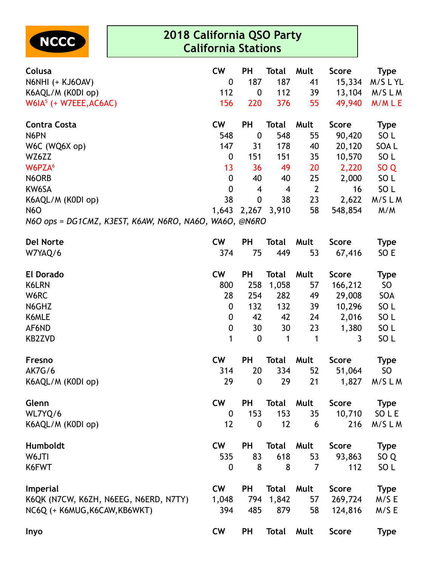

| Colusa                                                 | <b>CW</b>        | <b>PH</b>        | <b>Total</b>   | Mult           | <b>Score</b> | Type            |
|--------------------------------------------------------|------------------|------------------|----------------|----------------|--------------|-----------------|
| N6NHI (+ KJ6OAV)                                       | $\boldsymbol{0}$ | 187              | 187            | 41             | 15,334       | M/SLYL          |
| K6AQL/M (K0DI op)                                      | 112              | $\boldsymbol{0}$ | 112            | 39             | 13,104       | M/SLM           |
| $W6IA5$ (+ W7EEE, AC6AC)                               | 156              | 220              | 376            | 55             | 49,940       | M/MLE           |
| <b>Contra Costa</b>                                    | <b>CW</b>        | <b>PH</b>        | Total          | Mult           | <b>Score</b> | <b>Type</b>     |
| N6PN                                                   | 548              | $\boldsymbol{0}$ | 548            | 55             | 90,420       | SO <sub>L</sub> |
| W6C (WQ6X op)                                          | 147              | 31               | 178            | 40             | 20,120       | SOA L           |
| WZ6ZZ                                                  | 0                | 151              | 151            | 35             | 10,570       | SO <sub>L</sub> |
| W6PZA <sup>6</sup>                                     | 13               | 36               | 49             | 20             | 2,220        | SO <sub>Q</sub> |
| N6ORB                                                  | 0                | 40               | 40             | 25             | 2,000        | SO L            |
| KW6SA                                                  | $\mathbf 0$      | 4                | $\overline{4}$ | $\overline{2}$ | 16           | SO L            |
| K6AQL/M (K0DI op)                                      | 38               | $\boldsymbol{0}$ | 38             | 23             | 2,622        | M/SLM           |
| <b>N6O</b>                                             | 1,643            |                  | 2,267 3,910    | 58             | 548,854      | M/M             |
| N6O ops = DG1CMZ, K3EST, K6AW, N6RO, NA6O, WA6O, @N6RO |                  |                  |                |                |              |                 |
| <b>Del Norte</b>                                       | <b>CW</b>        | <b>PH</b>        | <b>Total</b>   | Mult           | <b>Score</b> | <b>Type</b>     |
| W7YAQ/6                                                | 374              | 75               | 449            | 53             | 67,416       | SO E            |
| <b>El Dorado</b>                                       | <b>CW</b>        | <b>PH</b>        | <b>Total</b>   | Mult           | <b>Score</b> | <b>Type</b>     |
| K6LRN                                                  | 800              | 258              | 1,058          | 57             | 166,212      | SO <sub>1</sub> |
| W6RC                                                   | 28               | 254              | 282            | 49             | 29,008       | SOA             |
| N6GHZ                                                  | 0                | 132              | 132            | 39             | 10,296       | SO <sub>L</sub> |
| K6MLE                                                  | 0                | 42               | 42             | 24             | 2,016        | SO <sub>L</sub> |
| AF6ND                                                  | 0                | 30               | 30             | 23             | 1,380        | SO <sub>L</sub> |
| <b>KB2ZVD</b>                                          | 1                | $\boldsymbol{0}$ | $\mathbf{1}$   | $\mathbf{1}$   | 3            | SO <sub>L</sub> |
| Fresno                                                 | <b>CW</b>        | <b>PH</b>        | <b>Total</b>   | Mult           | <b>Score</b> | <b>Type</b>     |
| <b>AK7G/6</b>                                          | 314              | 20               | 334            | 52             | 51,064       | SO              |
| K6AQL/M (K0DI op)                                      | 29               | $\boldsymbol{0}$ | 29             | 21             | 1,827        | M/SLM           |
| Glenn                                                  | <b>CW</b>        | PH               | Total          | Mult           | <b>Score</b> | Type            |
| WL7YQ/6                                                | $\boldsymbol{0}$ | 153              | 153            | 35             | 10,710       | SO L E          |
| K6AQL/M (K0DI op)                                      | 12               | $\mathbf 0$      | 12             | 6              | 216          | M/SLM           |
| Humboldt                                               | <b>CW</b>        | PH               | Total          | Mult           | <b>Score</b> | <b>Type</b>     |
| W6JTI                                                  | 535              | 83               | 618            | 53             | 93,863       | SO <sub>Q</sub> |
| K6FWT                                                  | $\mathbf{0}$     | 8                | 8              | $\overline{7}$ | 112          | SO <sub>L</sub> |
| <b>Imperial</b>                                        | <b>CW</b>        | PH               | <b>Total</b>   | Mult           | <b>Score</b> | <b>Type</b>     |
| K6QK (N7CW, K6ZH, N6EEG, N6ERD, N7TY)                  | 1,048            | 794              | 1,842          | 57             | 269,724      | M/S E           |
| NC6Q (+ K6MUG, K6CAW, KB6WKT)                          | 394              | 485              | 879            | 58             | 124,816      | M/SE            |
| Inyo                                                   | <b>CW</b>        | <b>PH</b>        | <b>Total</b>   | Mult           | <b>Score</b> | <b>Type</b>     |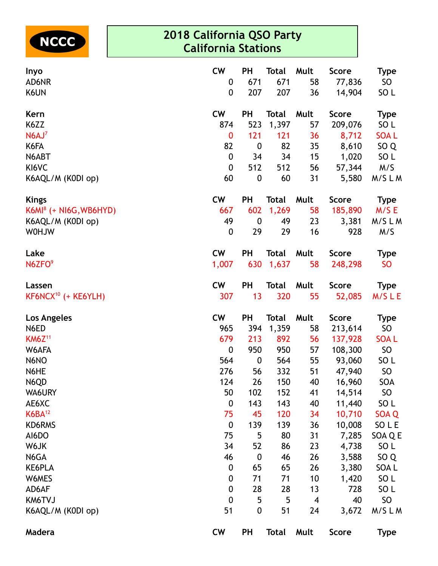

| Inyo                               | <b>CW</b>        | <b>PH</b>        | <b>Total</b> | Mult                    | <b>Score</b>     | <b>Type</b>           |
|------------------------------------|------------------|------------------|--------------|-------------------------|------------------|-----------------------|
| AD6NR<br>K6UN                      | 0<br>0           | 671<br>207       | 671<br>207   | 58<br>36                | 77,836<br>14,904 | SO<br>SO <sub>L</sub> |
| Kern                               | <b>CW</b>        | <b>PH</b>        | <b>Total</b> | Mult                    | <b>Score</b>     | <b>Type</b>           |
| K6ZZ                               | 874              | 523              | 1,397        | 57                      | 209,076          | SO <sub>L</sub>       |
| N6AJ <sup>7</sup>                  | $\bf{0}$         | 121              | 121          | 36                      | 8,712            | <b>SOAL</b>           |
| K6FA                               | 82               | $\boldsymbol{0}$ | 82           | 35                      | 8,610            | SO <sub>Q</sub>       |
| N6ABT                              | 0                | 34               | 34           | 15                      | 1,020            | SO <sub>L</sub>       |
| KI6VC                              | $\mathbf 0$      | 512              | 512          | 56                      | 57,344           | M/S                   |
| K6AQL/M (K0DI op)                  | 60               | $\boldsymbol{0}$ | 60           | 31                      | 5,580            | M/SLM                 |
| <b>Kings</b>                       | <b>CW</b>        | <b>PH</b>        | <b>Total</b> | Mult                    | <b>Score</b>     | <b>Type</b>           |
| K6MI <sup>8</sup> (+ NI6G, WB6HYD) | 667              | 602              | 1,269        | 58                      | 185,890          | M/S E                 |
| K6AQL/M (K0DI op)                  | 49               | $\boldsymbol{0}$ | 49           | 23                      | 3,381            | M/SLM                 |
| WUH0W                              | 0                | 29               | 29           | 16                      | 928              | M/S                   |
| Lake                               | <b>CW</b>        | <b>PH</b>        | <b>Total</b> | Mult                    | <b>Score</b>     | <b>Type</b>           |
| N6ZFO <sup>9</sup>                 | 1,007            | 630              | 1,637        | 58                      | 248,298          | <b>SO</b>             |
| Lassen                             | <b>CW</b>        | <b>PH</b>        | <b>Total</b> | Mult                    | <b>Score</b>     | <b>Type</b>           |
| KF6NCX <sup>10</sup> (+ KE6YLH)    | 307              | 13               | 320          | 55                      | 52,085           | M/SLE                 |
| Los Angeles                        | <b>CW</b>        | <b>PH</b>        | <b>Total</b> | Mult                    | <b>Score</b>     | <b>Type</b>           |
| N6ED                               | 965              | 394              | 1,359        | 58                      | 213,614          | SO                    |
| <b>KM6Z11</b>                      | 679              | 213              | 892          | 56                      | 137,928          | <b>SOAL</b>           |
| W6AFA                              | $\boldsymbol{0}$ | 950              | 950          | 57                      | 108,300          | <b>SO</b>             |
| N6NO                               | 564              | $\boldsymbol{0}$ | 564          | 55                      | 93,060           | SO <sub>L</sub>       |
| N6HE                               | 276              | 56               | 332          | 51                      | 47,940           | <b>SO</b>             |
| N6QD                               | 124              | 26               | 150          | 40                      | 16,960           | SOA                   |
| WA6URY                             | 50               | 102              | 152          | 41                      | 14,514           | <b>SO</b>             |
| AE6XC                              | 0                | 143              | 143          | 40                      | 11,440           | SO <sub>L</sub>       |
| $K6BA^{12}$                        | 75               | 45               | 120          | 34                      | 10,710           | SOA Q                 |
| KD6RMS                             | $\boldsymbol{0}$ | 139              | 139          | 36                      | 10,008           | SO L E                |
| AI6DO                              | 75               | 5                | 80           | 31                      | 7,285            | SOA Q E               |
| W6JK                               | 34               | 52               | 86           | 23                      | 4,738            | SO <sub>L</sub>       |
| N6GA                               | 46               | $\boldsymbol{0}$ | 46           | 26                      | 3,588            | SO <sub>Q</sub>       |
| KE6PLA                             | $\boldsymbol{0}$ | 65               | 65           | 26                      | 3,380            | SOA L                 |
| W6MES                              | $\boldsymbol{0}$ | 71               | 71           | 10                      | 1,420            | SO <sub>L</sub>       |
| AD6AF                              | $\boldsymbol{0}$ | 28               | 28           | 13                      | 728              | SO <sub>L</sub>       |
| KM6TVJ                             | $\mathbf 0$      | 5                | 5            | $\overline{\mathbf{4}}$ | 40               | SO                    |
| K6AQL/M (K0DI op)                  | 51               | $\pmb{0}$        | 51           | 24                      | 3,672            | M/SLM                 |
| Madera                             | <b>CW</b>        | <b>PH</b>        | <b>Total</b> | Mult                    | <b>Score</b>     | <b>Type</b>           |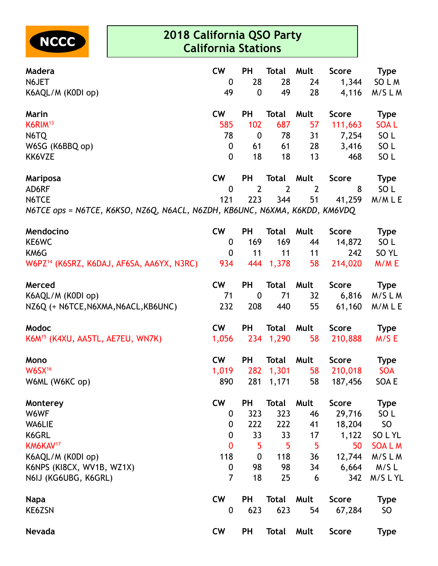

| Madera                                                                     | <b>CW</b>      | PH                     | Total          | Mult           | Score          | Type             |
|----------------------------------------------------------------------------|----------------|------------------------|----------------|----------------|----------------|------------------|
| N6JET<br>K6AQL/M (K0DI op)                                                 | 0<br>49        | 28<br>$\boldsymbol{0}$ | 28<br>49       | 24<br>28       | 1,344<br>4,116 | SO L M<br>M/SLM  |
| Marin                                                                      | <b>CW</b>      | <b>PH</b>              | <b>Total</b>   | Mult           | <b>Score</b>   | <b>Type</b>      |
| $K6$ RIM $^{13}$                                                           | 585            | 102                    | 687            | 57             | 111,663        | <b>SOAL</b>      |
| N6TQ                                                                       | 78             | $\boldsymbol{0}$       | 78             | 31             | 7,254          | SO <sub>L</sub>  |
| W6SG (K6BBQ op)                                                            | 0              | 61                     | 61             | 28             | 3,416          | SO <sub>L</sub>  |
| KK6VZE                                                                     | 0              | 18                     | 18             | 13             | 468            | SO <sub>L</sub>  |
| Mariposa                                                                   | <b>CW</b>      | PH                     | Total          | Mult           | <b>Score</b>   | <b>Type</b>      |
| AD6RF                                                                      | $\mathbf 0$    | $\overline{2}$         | $\overline{2}$ | $\overline{2}$ | 8              | SO <sub>L</sub>  |
| N6TCE                                                                      | 121            | 223                    | 344            | 51             | 41,259         | M/MLE            |
| N6TCE ops = N6TCE, K6KSO, NZ6Q, N6ACL, N6ZDH, KB6UNC, N6XMA, K6KDD, KM6VDQ |                |                        |                |                |                |                  |
| Mendocino                                                                  | <b>CW</b>      | PH                     | <b>Total</b>   | Mult           | <b>Score</b>   | <b>Type</b>      |
| KE6WC                                                                      | 0              | 169                    | 169            | 44             | 14,872         | SO L             |
| KM6G                                                                       | $\overline{0}$ | 11                     | 11             | 11             | 242            | SO <sub>YL</sub> |
| W6PZ14 (K6SRZ, K6DAJ, AF6SA, AA6YX, N3RC)                                  | 934            |                        | 444 1,378      | 58             | 214,020        | M/ME             |
| Merced                                                                     | <b>CW</b>      | <b>PH</b>              | Total          | Mult           | <b>Score</b>   | Type             |
| K6AQL/M (K0DI op)                                                          | 71             | $\boldsymbol{0}$       | 71             | 32             | 6,816          | M/SLM            |
| NZ6Q (+ N6TCE,N6XMA,N6ACL,KB6UNC)                                          | 232            | 208                    | 440            | 55             | 61,160         | M/MLE            |
| Modoc                                                                      | cw             | <b>PH</b>              | <b>Total</b>   | Mult           | <b>Score</b>   | <b>Type</b>      |
| K6M <sup>15</sup> (K4XU, AA5TL, AE7EU, WN7K)                               | 1,056          |                        | 234 1,290      | 58             | 210,888        | M/SE             |
| Mono                                                                       | <b>CW</b>      | <b>PH</b>              | <b>Total</b>   | Mult           | <b>Score</b>   | <b>Type</b>      |
| $W$ 6S $X$ <sup>16</sup>                                                   | 1,019          | 282                    | 1,301          | 58             | 210,018        | <b>SOA</b>       |
| W6ML (W6KC op)                                                             | 890            |                        | 281 1,171      |                | 58 187,456     | SOA E            |
| Monterey                                                                   | <b>CW</b>      | <b>PH</b>              | <b>Total</b>   | Mult           | <b>Score</b>   | <b>Type</b>      |
| W6WF                                                                       | 0              | 323                    | 323            | 46             | 29,716         | SO <sub>L</sub>  |
| WA6LIE                                                                     | 0              | 222                    | 222            | 41             | 18,204         | SO <sub>1</sub>  |
| K6GRL                                                                      | $\mathbf 0$    | 33                     | 33             | 17             | 1,122          | SO L YL          |
| KM6KAV <sup>17</sup>                                                       | $\mathbf 0$    | 5                      | 5              | 5              | 50             | <b>SOALM</b>     |
| K6AQL/M (K0DI op)                                                          | 118            | $\boldsymbol{0}$       | 118            | 36             | 12,744         | M/SLM            |
| K6NPS (KI8CX, WV1B, WZ1X)                                                  | 0              | 98                     | 98             | 34             | 6,664          | M/S L            |
| N6IJ (KG6UBG, K6GRL)                                                       | $\overline{7}$ | 18                     | 25             | 6              | 342            | M/SLYL           |
| Napa                                                                       | <b>CW</b>      | <b>PH</b>              | <b>Total</b>   | Mult           | <b>Score</b>   | <b>Type</b>      |
| KE6ZSN                                                                     | 0              | 623                    | 623            | 54             | 67,284         | SO <sub>1</sub>  |
| Nevada                                                                     | <b>CW</b>      | <b>PH</b>              | Total          | Mult           | <b>Score</b>   | <b>Type</b>      |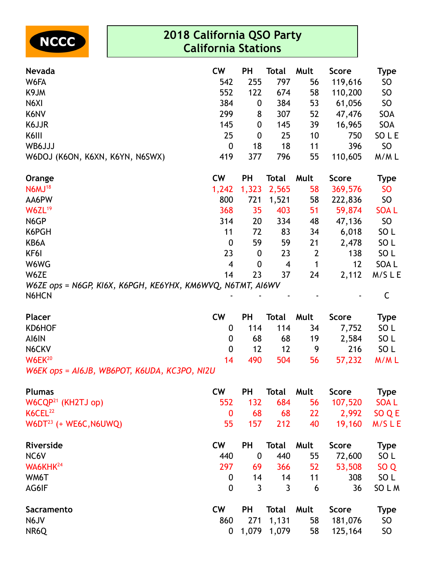

| Nevada                                                              | <b>CW</b>               | <b>PH</b>        | <b>Total</b> | Mult         | <b>Score</b> | <b>Type</b>     |
|---------------------------------------------------------------------|-------------------------|------------------|--------------|--------------|--------------|-----------------|
| W6FA                                                                | 542                     | 255              | 797          | 56           | 119,616      | <b>SO</b>       |
| K9JM                                                                | 552                     | 122              | 674          | 58           | 110,200      | SO              |
| N6XI                                                                | 384                     | 0                | 384          | 53           | 61,056       | <b>SO</b>       |
| K6NV                                                                | 299                     | 8                | 307          | 52           | 47,476       | SOA             |
| K6JJR                                                               | 145                     | 0                | 145          | 39           | 16,965       | SOA             |
| K6III                                                               | 25                      | 0                | 25           | 10           | 750          | SO L E          |
| WB6JJJ                                                              | $\boldsymbol{0}$        | 18               | 18           | 11           | 396          | SO              |
| W6DOJ (K6ON, K6XN, K6YN, N6SWX)                                     | 419                     | 377              | 796          | 55           | 110,605      | M/ML            |
| Orange                                                              | <b>CW</b>               | <b>PH</b>        | <b>Total</b> | Mult         | <b>Score</b> | <b>Type</b>     |
| <b>N6MJ18</b>                                                       | 1,242                   | 1,323            | 2,565        | 58           | 369,576      | <b>SO</b>       |
| AA6PW                                                               | 800                     | 721              | 1,521        | 58           | 222,836      | <b>SO</b>       |
| W6ZL <sup>19</sup>                                                  | 368                     | 35               | 403          | 51           | 59,874       | <b>SOAL</b>     |
| N6GP                                                                | 314                     | 20               | 334          | 48           | 47,136       | SO              |
| K6PGH                                                               | 11                      | 72               | 83           | 34           | 6,018        | SO L            |
| KB6A                                                                | $\boldsymbol{0}$        | 59               | 59           | 21           | 2,478        | SO <sub>L</sub> |
| KF6I                                                                | 23                      | 0                | 23           | $\mathbf{2}$ | 138          | SO <sub>L</sub> |
| W6WG                                                                | $\overline{\mathbf{4}}$ | 0                | 4            | 1            | 12           | SOA L           |
| W6ZE                                                                | 14                      | 23               | 37           | 24           | 2,112        | M/SLE           |
| W6ZE ops = N6GP, KI6X, K6PGH, KE6YHX, KM6WVQ, N6TMT, AI6WV<br>N6HCN |                         |                  |              |              |              | $\mathsf C$     |
| <b>Placer</b>                                                       | <b>CW</b>               | <b>PH</b>        | <b>Total</b> | Mult         | <b>Score</b> | <b>Type</b>     |
| KD6HOF                                                              | $\boldsymbol{0}$        | 114              | 114          | 34           | 7,752        | SO <sub>L</sub> |
| AI6IN                                                               | 0                       | 68               | 68           | 19           | 2,584        | SO <sub>L</sub> |
| N6CKV                                                               | 0                       | 12               | 12           | 9            | 216          | SO <sub>L</sub> |
| $W6EK^{20}$                                                         | 14                      | 490              | 504          | 56           | 57,232       | M/ML            |
| W6EK ops = AI6JB, WB6POT, K6UDA, KC3PO, NI2U                        |                         |                  |              |              |              |                 |
| <b>Plumas</b>                                                       | <b>CW</b>               | <b>PH</b>        | <b>Total</b> | Mult         | <b>Score</b> | <b>Type</b>     |
| W6CQP <sup>21</sup> (KH2TJ op)                                      | 552                     | 132              | 684          | 56           | 107,520      | <b>SOAL</b>     |
| K6CEL <sup>22</sup>                                                 | $\mathbf{0}$            | 68               | 68           | 22           | 2,992        | SO Q E          |
| $W6DT^{23}$ (+ WE6C, N6UWQ)                                         | 55                      | 157              | 212          | 40           | 19,160       | M/SLE           |
| Riverside                                                           | <b>CW</b>               | <b>PH</b>        | <b>Total</b> | Mult         | <b>Score</b> | <b>Type</b>     |
| NC6V                                                                | 440                     | $\boldsymbol{0}$ | 440          | 55           | 72,600       | SO <sub>L</sub> |
| WA6KHK <sup>24</sup>                                                | 297                     | 69               | 366          | 52           | 53,508       | SO <sub>Q</sub> |
| WM6T                                                                | $\mathbf 0$             | 14               | 14           | 11           | 308          | SO <sub>L</sub> |
| AG6IF                                                               | $\mathbf 0$             | 3                | 3            | 6            | 36           | SO L M          |
| Sacramento                                                          | <b>CW</b>               | <b>PH</b>        | <b>Total</b> | Mult         | <b>Score</b> | <b>Type</b>     |
| N6JV                                                                | 860                     | 271              | 1,131        | 58           | 181,076      | SO              |
| NR6Q                                                                | 0                       | 1,079            | 1,079        | 58           | 125,164      | SO              |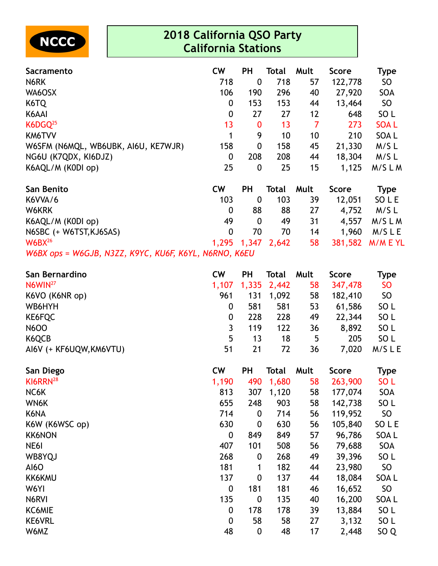

| <b>Sacramento</b>                   | <b>CW</b>        | <b>PH</b>        | Total | Mult | <b>Score</b> | Type            |
|-------------------------------------|------------------|------------------|-------|------|--------------|-----------------|
| N6RK                                | 718              | 0                | 718   | 57   | 122,778      | <b>SO</b>       |
| WA6OSX                              | 106              | 190              | 296   | 40   | 27,920       | SOA             |
| K6TQ                                | $\boldsymbol{0}$ | 153              | 153   | 44   | 13,464       | SO              |
| K6AAI                               | $\boldsymbol{0}$ | 27               | 27    | 12   | 648          | SO <sub>L</sub> |
| $K6DGQ^{25}$                        | 13               | $\bf{0}$         | 13    | 7    | 273          | <b>SOAL</b>     |
| KM6TVV                              | 1                | 9                | 10    | 10   | 210          | SOA L           |
| W6SFM (N6MQL, WB6UBK, AI6U, KE7WJR) | 158              | $\boldsymbol{0}$ | 158   | 45   | 21,330       | $M/S$ L         |
| NG6U (K7QDX, KI6DJZ)                | $\boldsymbol{0}$ | 208              | 208   | 44   | 18,304       | M/SL            |
| K6AQL/M (K0DI op)                   | 25               | 0                | 25    | 15   | 1,125        | M/SLM           |
| San Benito                          | <b>CW</b>        | <b>PH</b>        | Total | Mult | <b>Score</b> | <b>Type</b>     |
| K6VVA/6                             | 103              | 0                | 103   | 39   | 12,051       | SO L E          |
| W6KRK                               | $\boldsymbol{0}$ | 88               | 88    | 27   | 4,752        | M/S L           |
| K6AQL/M (K0DI op)                   | 49               | $\mathbf 0$      | 49    | 31   | 4,557        | M/SLM           |

N6SBC (+ W6TST,KJ6SAS) 0 70 70 14 1,960 M/S L E W6BX<sup>26</sup> 1,295 1,347 2,642 58 381,582 M/M E YL

*W6BX ops = W6GJB, N3ZZ, K9YC, KU6F, K6YL, N6RNO, K6EU*

| San Bernardino          | <b>CW</b> | РH  | <b>Total</b> | Mult | <b>Score</b> | Type            |
|-------------------------|-----------|-----|--------------|------|--------------|-----------------|
| N6WIN <sup>27</sup>     | 1,107     |     | 1,335 2,442  | 58   | 347,478      | <b>SO</b>       |
| K6VO (K6NR op)          | 961       | 131 | 1,092        | 58   | 182,410      | SO              |
| WB6HYH                  |           | 581 | 581          | 53   | 61,586       | SO L            |
| KE6FQC                  |           | 228 | 228          | 49   | 22,344       | SO L            |
| <b>N6OO</b>             |           | 119 | 122          | 36   | 8,892        | SO <sub>L</sub> |
| K6QCB                   | 5         | 13  | 18           | 5    | 205          | SO L            |
| AI6V (+ KF6UQW, KM6VTU) | 51        | 21  | 72           | 36   | 7,020        | M/SLE           |

| San Diego            | <b>CW</b>        | PH               | Total | Mult | <b>Score</b> | <b>Type</b>     |
|----------------------|------------------|------------------|-------|------|--------------|-----------------|
| KI6RRN <sup>28</sup> | 1,190            | 490              | 1,680 | 58   | 263,900      | SO <sub>L</sub> |
| NC6K                 | 813              | 307              | 1,120 | 58   | 177,074      | SOA             |
| WN6K                 | 655              | 248              | 903   | 58   | 142,738      | SO <sub>L</sub> |
| K6NA                 | 714              | $\boldsymbol{0}$ | 714   | 56   | 119,952      | SO              |
| K6W (K6WSC op)       | 630              | $\boldsymbol{0}$ | 630   | 56   | 105,840      | SO L E          |
| <b>KK6NON</b>        | 0                | 849              | 849   | 57   | 96,786       | SOA L           |
| NE6I                 | 407              | 101              | 508   | 56   | 79,688       | SOA             |
| WB8YQJ               | 268              | $\boldsymbol{0}$ | 268   | 49   | 39,396       | SO <sub>L</sub> |
| <b>AI6O</b>          | 181              | 1                | 182   | 44   | 23,980       | SO              |
| <b>KK6KMU</b>        | 137              | $\boldsymbol{0}$ | 137   | 44   | 18,084       | SOA L           |
| W6YI                 | $\boldsymbol{0}$ | 181              | 181   | 46   | 16,652       | SO              |
| N6RVI                | 135              | $\boldsymbol{0}$ | 135   | 40   | 16,200       | SOA L           |
| KC6MIE               | $\boldsymbol{0}$ | 178              | 178   | 39   | 13,884       | SO <sub>L</sub> |
| <b>KE6VRL</b>        | 0                | 58               | 58    | 27   | 3,132        | SO <sub>L</sub> |
| W6MZ                 | 48               | $\boldsymbol{0}$ | 48    | 17   | 2,448        | SO <sub>Q</sub> |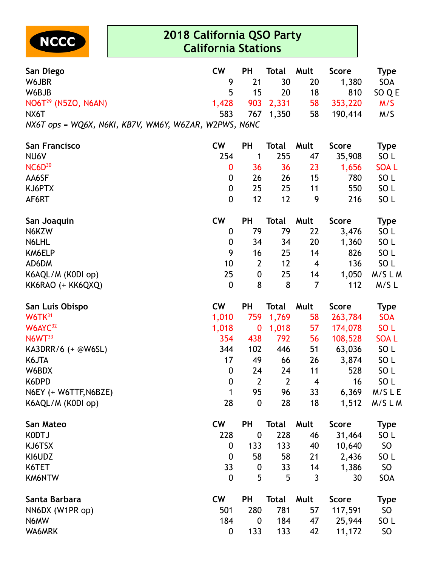

| San Diego                                             | <b>CW</b>        | <b>PH</b>        | <b>Total</b> | Mult | <b>Score</b> | <b>Type</b>     |
|-------------------------------------------------------|------------------|------------------|--------------|------|--------------|-----------------|
| W6JBR                                                 | 9                | 21               | 30           | 20   | 1,380        | SOA             |
| W6BJB                                                 | 5                | 15               | 20           | 18   | 810          | SO Q E          |
| $NO6T29$ (N5ZO, N6AN)                                 | 1,428            | 903              | 2,331        | 58   | 353,220      | M/S             |
| NX6T                                                  | 583              | 767              | 1,350        | 58   | 190,414      | M/S             |
| NX6T ops = WQ6X, N6KI, KB7V, WM6Y, W6ZAR, W2PWS, N6NC |                  |                  |              |      |              |                 |
| San Francisco                                         | <b>CW</b>        | <b>PH</b>        | Total        | Mult | <b>Score</b> | <b>Type</b>     |
| NU6V                                                  | 254              | 1                | 255          | 47   | 35,908       | SO <sub>L</sub> |
| $NC6D^{30}$                                           | 0                | 36               | 36           | 23   | 1,656        | <b>SOAL</b>     |
| AA6SF                                                 | $\boldsymbol{0}$ | 26               | 26           | 15   | 780          | SO <sub>L</sub> |
| KJ6PTX                                                | $\boldsymbol{0}$ | 25               | 25           | 11   | 550          | SO <sub>L</sub> |
| AF6RT                                                 | $\mathbf 0$      | 12               | 12           | 9    | 216          | SO <sub>L</sub> |
| San Joaquin                                           | <b>CW</b>        | <b>PH</b>        | <b>Total</b> | Mult | <b>Score</b> | <b>Type</b>     |
| N6KZW                                                 | 0                | 79               | 79           | 22   | 3,476        | SO <sub>L</sub> |
| N6LHL                                                 | 0                | 34               | 34           | 20   | 1,360        | SO <sub>L</sub> |
| KM6ELP                                                | 9                | 16               | 25           | 14   | 826          | SO <sub>L</sub> |
| AD6DM                                                 | 10               | $\overline{2}$   | 12           | 4    | 136          | SO <sub>L</sub> |
| K6AQL/M (K0DI op)                                     | 25               | $\boldsymbol{0}$ | 25           | 14   | 1,050        | M/SLM           |
| KK6RAO (+ KK6QXQ)                                     | $\boldsymbol{0}$ | 8                | 8            | 7    | 112          | M/SL            |
| San Luis Obispo                                       | <b>CW</b>        | <b>PH</b>        | <b>Total</b> | Mult | <b>Score</b> | <b>Type</b>     |
| $W6TK^{31}$                                           | 1,010            | 759              | 1,769        | 58   | 263,784      | <b>SOA</b>      |
| W6AYC <sup>32</sup>                                   | 1,018            | $\bf{0}$         | 1,018        | 57   | 174,078      | SO <sub>L</sub> |
| N6WT <sup>33</sup>                                    | 354              | 438              | 792          | 56   | 108,528      | <b>SOAL</b>     |
| KA3DRR/6 (+ @W6SL)                                    | 344              | 102              | 446          | 51   | 63,036       | SO <sub>L</sub> |
| K6JTA                                                 | 17               | 49               | 66           | 26   | 3,874        | SO <sub>L</sub> |
| W6BDX                                                 | $\boldsymbol{0}$ | 24               | 24           | 11   | 528          | SO <sub>L</sub> |
| K6DPD                                                 | $\boldsymbol{0}$ | $\mathbf{2}$     | $\mathbf{2}$ | 4    | 16           | SO <sub>L</sub> |
| N6EY (+ W6TTF, N6BZE)                                 | 1                | 95               | 96           | 33   | 6,369        | M/SLE           |
| K6AQL/M (K0DI op)                                     | 28               | $\boldsymbol{0}$ | 28           | 18   | 1,512        | M/SLM           |
| San Mateo                                             | cw               | <b>PH</b>        | <b>Total</b> | Mult | <b>Score</b> | <b>Type</b>     |
| <b>KODTJ</b>                                          | 228              | $\mathbf 0$      | 228          | 46   | 31,464       | SO <sub>L</sub> |
| KJ6TSX                                                | $\mathbf 0$      | 133              | 133          | 40   | 10,640       | SO              |
| KI6UDZ                                                | $\boldsymbol{0}$ | 58               | 58           | 21   | 2,436        | SO <sub>L</sub> |
| K6TET                                                 | 33               | $\boldsymbol{0}$ | 33           | 14   | 1,386        | <b>SO</b>       |
| KM6NTW                                                | $\boldsymbol{0}$ | 5                | 5            | 3    | 30           | SOA             |
| Santa Barbara                                         | <b>CW</b>        | <b>PH</b>        | <b>Total</b> | Mult | <b>Score</b> | <b>Type</b>     |
| NN6DX (W1PR op)                                       | 501              | 280              | 781          | 57   | 117,591      | SO              |
| N6MW                                                  | 184              | $\boldsymbol{0}$ | 184          | 47   | 25,944       | SO <sub>L</sub> |
| WA6MRK                                                | 0                | 133              | 133          | 42   | 11,172       | SO              |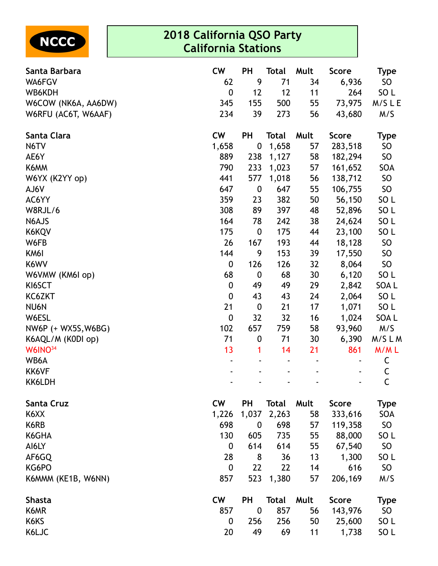

| Santa Barbara       | <b>CW</b>        | <b>PH</b>        | <b>Total</b> | Mult | <b>Score</b> | <b>Type</b>     |
|---------------------|------------------|------------------|--------------|------|--------------|-----------------|
| WA6FGV              | 62               | 9                | 71           | 34   | 6,936        | SO              |
| WB6KDH              | $\mathbf 0$      | 12               | 12           | 11   | 264          | SO <sub>L</sub> |
| W6COW (NK6A, AA6DW) | 345              | 155              | 500          | 55   | 73,975       | M/SLE           |
| W6RFU (AC6T, W6AAF) | 234              | 39               | 273          | 56   | 43,680       | M/S             |
| Santa Clara         | <b>CW</b>        | <b>PH</b>        | <b>Total</b> | Mult | <b>Score</b> | <b>Type</b>     |
| N6TV                | 1,658            | $\boldsymbol{0}$ | 1,658        | 57   | 283,518      | <b>SO</b>       |
| AE6Y                | 889              | 238              | 1,127        | 58   | 182,294      | SO              |
| K6MM                | 790              | 233              | 1,023        | 57   | 161,652      | SOA             |
| W6YX (K2YY op)      | 441              | 577              | 1,018        | 56   | 138,712      | <b>SO</b>       |
| AJ6V                | 647              | $\boldsymbol{0}$ | 647          | 55   | 106,755      | <b>SO</b>       |
| AC6YY               | 359              | 23               | 382          | 50   | 56,150       | SO <sub>L</sub> |
| W8RJL/6             | 308              | 89               | 397          | 48   | 52,896       | SO <sub>L</sub> |
| N6AJS               | 164              | 78               | 242          | 38   | 24,624       | SO <sub>L</sub> |
| K6KQV               | 175              | $\boldsymbol{0}$ | 175          | 44   | 23,100       | SO <sub>L</sub> |
| W6FB                | 26               | 167              | 193          | 44   | 18,128       | SO              |
| KM6I                | 144              | 9                | 153          | 39   | 17,550       | <b>SO</b>       |
| K6WV                | $\boldsymbol{0}$ | 126              | 126          | 32   | 8,064        | SO              |
| W6VMW (KM6I op)     | 68               | $\boldsymbol{0}$ | 68           | 30   | 6,120        | SO <sub>L</sub> |
| KI6SCT              | $\boldsymbol{0}$ | 49               | 49           | 29   | 2,842        | SOA L           |
| KC6ZKT              | $\boldsymbol{0}$ | 43               | 43           | 24   | 2,064        | SO <sub>L</sub> |
| NU6N                | 21               | $\boldsymbol{0}$ | 21           | 17   | 1,071        | SO <sub>L</sub> |
| W6ESL               | $\boldsymbol{0}$ | 32               | 32           | 16   | 1,024        | SOA L           |
| NW6P (+ WX5S, W6BG) | 102              | 657              | 759          | 58   | 93,960       | M/S             |
| K6AQL/M (K0DI op)   | 71               | $\boldsymbol{0}$ | 71           | 30   | 6,390        | M/SLM           |
| W6INO <sup>34</sup> | 13               | 1                | 14           | 21   | 861          | M/ML            |
| WB6A                |                  |                  |              |      |              | C               |
| KK6VF               |                  |                  |              |      |              | C               |
| KK6LDH              |                  |                  |              |      |              | C               |
| <b>Santa Cruz</b>   | <b>CW</b>        | PH               | <b>Total</b> | Mult | <b>Score</b> | <b>Type</b>     |
| K6XX                | 1,226            | 1,037            | 2,263        | 58   | 333,616      | SOA             |
| K6RB                | 698              | $\boldsymbol{0}$ | 698          | 57   | 119,358      | SO              |
| K6GHA               | 130              | 605              | 735          | 55   | 88,000       | SO <sub>L</sub> |
| AI6LY               | $\boldsymbol{0}$ | 614              | 614          | 55   | 67,540       | SO              |
| AF6GQ               | 28               | 8                | 36           | 13   | 1,300        | SO <sub>L</sub> |
| KG6PO               | $\boldsymbol{0}$ | 22               | 22           | 14   | 616          | <b>SO</b>       |
| K6MMM (KE1B, W6NN)  | 857              | 523              | 1,380        | 57   | 206,169      | M/S             |
| <b>Shasta</b>       | <b>CW</b>        | <b>PH</b>        | <b>Total</b> | Mult | <b>Score</b> | <b>Type</b>     |
| K6MR                | 857              | $\boldsymbol{0}$ | 857          | 56   | 143,976      | SO              |
| K6KS                | $\boldsymbol{0}$ | 256              | 256          | 50   | 25,600       | SO <sub>L</sub> |
| K6LJC               | 20               | 49               | 69           | 11   | 1,738        | SO <sub>L</sub> |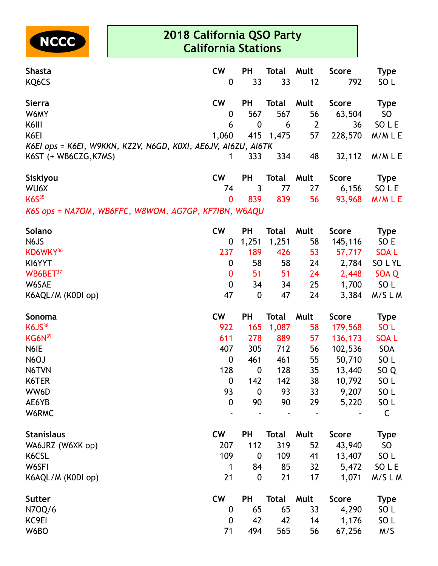

| <b>Shasta</b>                                                                          | cw               | <b>PH</b>        | <b>Total</b> | Mult           | <b>Score</b> | <b>Type</b>     |
|----------------------------------------------------------------------------------------|------------------|------------------|--------------|----------------|--------------|-----------------|
| KQ6CS                                                                                  | 0                | 33               | 33           | 12             | 792          | SO <sub>L</sub> |
| <b>Sierra</b>                                                                          | <b>CW</b>        | <b>PH</b>        | <b>Total</b> | Mult           | <b>Score</b> | <b>Type</b>     |
| W6MY                                                                                   | 0                | 567              | 567          | 56             | 63,504       | SO              |
| K6III                                                                                  | 6                | $\mathbf 0$      | 6            | $\overline{2}$ | 36           | SO L E          |
| K6EI                                                                                   | 1,060            | 415              | 1,475        | 57             | 228,570      | M/MLE           |
| K6EI ops = K6EI, W9KKN, KZ2V, N6GD, K0XI, AE6JV, AI6ZU, AI6TK<br>K6ST (+ WB6CZG, K7MS) | 1                | 333              | 334          | 48             | 32,112       | M/MLE           |
| Siskiyou                                                                               | <b>CW</b>        | <b>PH</b>        | <b>Total</b> | Mult           | <b>Score</b> | <b>Type</b>     |
| WU6X                                                                                   | 74               | 3                | 77           | 27             | 6,156        | SO L E          |
| K6S <sup>35</sup>                                                                      | $\boldsymbol{0}$ | 839              | 839          | 56             | 93,968       | M/MLE           |
| K6S ops = NA7OM, WB6FFC, W8WOM, AG7GP, KF7IBN, W6AQU                                   |                  |                  |              |                |              |                 |
| Solano                                                                                 | <b>CW</b>        | <b>PH</b>        | <b>Total</b> | Mult           | <b>Score</b> | <b>Type</b>     |
| N6JS                                                                                   | $\boldsymbol{0}$ | 1,251            | 1,251        | 58             | 145,116      | SO E            |
| KD6WKY <sup>36</sup>                                                                   | 237              | 189              | 426          | 53             | 57,717       | <b>SOAL</b>     |
| KI6YYT                                                                                 | 0                | 58               | 58           | 24             | 2,784        | SO L YL         |
| WB6BET <sup>37</sup>                                                                   | $\bf{0}$         | 51               | 51           | 24             | 2,448        | SOA Q           |
| W6SAE                                                                                  | 0                | 34               | 34           | 25             | 1,700        | SO L            |
| K6AQL/M (K0DI op)                                                                      | 47               | $\boldsymbol{0}$ | 47           | 24             | 3,384        | M/SLM           |
| Sonoma                                                                                 | <b>CW</b>        | <b>PH</b>        | <b>Total</b> | Mult           | <b>Score</b> | <b>Type</b>     |
| <b>K6JS38</b>                                                                          | 922              | 165              | 1,087        | 58             | 179,568      | SO <sub>L</sub> |
| KG6N <sup>39</sup>                                                                     | 611              | 278              | 889          | 57             | 136,173      | <b>SOAL</b>     |
| N6IE                                                                                   | 407              | 305              | 712          | 56             | 102,536      | <b>SOA</b>      |
| N6OJ                                                                                   | $\boldsymbol{0}$ | 461              | 461          | 55             | 50,710       | SO <sub>L</sub> |
| N6TVN                                                                                  | 128              | $\boldsymbol{0}$ | 128          | 35             | 13,440       | SO <sub>Q</sub> |
| K6TER                                                                                  | $\bf{0}$         | 142              | 142          | 38             | 10,792       | SO L            |
| WW6D                                                                                   | 93               | $\boldsymbol{0}$ | 93           | 33             | 9,207        | SO <sub>L</sub> |
| AE6YB                                                                                  | $\boldsymbol{0}$ | 90               | 90           | 29             | 5,220        | SO <sub>L</sub> |
| W6RMC                                                                                  |                  |                  |              |                |              | $\mathsf C$     |
| <b>Stanislaus</b>                                                                      | cw               | <b>PH</b>        | <b>Total</b> | Mult           | <b>Score</b> | <b>Type</b>     |
| WA6JRZ (W6XK op)                                                                       | 207              | 112              | 319          | 52             | 43,940       | SO              |
| K6CSL                                                                                  | 109              | $\boldsymbol{0}$ | 109          | 41             | 13,407       | SO L            |
| W6SFI                                                                                  | 1                | 84               | 85           | 32             | 5,472        | SO L E          |
| K6AQL/M (K0DI op)                                                                      | 21               | $\mathbf 0$      | 21           | 17             | 1,071        | M/SLM           |
| <b>Sutter</b>                                                                          | cw               | <b>PH</b>        | <b>Total</b> | Mult           | <b>Score</b> | <b>Type</b>     |
| N70Q/6                                                                                 | $\boldsymbol{0}$ | 65               | 65           | 33             | 4,290        | SO <sub>L</sub> |
| KC9EI                                                                                  | 0                | 42               | 42           | 14             | 1,176        | SO <sub>L</sub> |
| W6BO                                                                                   | 71               | 494              | 565          | 56             | 67,256       | M/S             |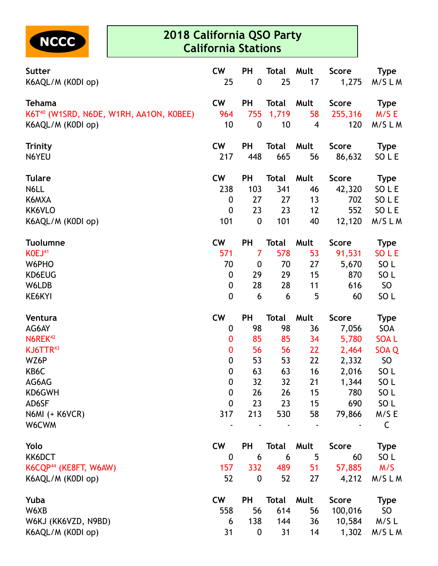

| Sutter                                              | <b>CW</b>        | PH               | <b>Total</b> | Mult                    | <b>Score</b> | <b>Type</b>     |
|-----------------------------------------------------|------------------|------------------|--------------|-------------------------|--------------|-----------------|
| K6AQL/M (K0DI op)                                   | 25               | $\pmb{0}$        | 25           | 17                      | 1,275        | M/SLM           |
| <b>Tehama</b>                                       | <b>CW</b>        | PH               | <b>Total</b> | Mult                    | <b>Score</b> | <b>Type</b>     |
| K6T <sup>40</sup> (W1SRD, N6DE, W1RH, AA1ON, K0BEE) | 964              | 755              | 1,719        | 58                      | 255,316      | M/SE            |
| K6AQL/M (K0DI op)                                   | 10               | $\boldsymbol{0}$ | 10           | $\overline{\mathbf{4}}$ | 120          | M/SLM           |
| <b>Trinity</b>                                      | <b>CW</b>        | PH               | <b>Total</b> | Mult                    | <b>Score</b> | <b>Type</b>     |
| N6YEU                                               | 217              | 448              | 665          | 56                      | 86,632       | SO L E          |
| <b>Tulare</b>                                       | <b>CW</b>        | <b>PH</b>        | <b>Total</b> | Mult                    | <b>Score</b> | <b>Type</b>     |
| N6LL                                                | 238              | 103              | 341          | 46                      | 42,320       | SO L E          |
| K6MXA                                               | $\boldsymbol{0}$ | 27               | 27           | 13                      | 702          | SO L E          |
| KK6VLO                                              | $\boldsymbol{0}$ | 23               | 23           | 12                      | 552          | SO L E          |
| K6AQL/M (K0DI op)                                   | 101              | $\boldsymbol{0}$ | 101          | 40                      | 12,120       | M/SLM           |
| <b>Tuolumne</b>                                     | <b>CW</b>        | <b>PH</b>        | <b>Total</b> | Mult                    | <b>Score</b> | <b>Type</b>     |
| KOEJ <sup>41</sup>                                  | 571              | $\overline{7}$   | 578          | 53                      | 91,531       | SO L E          |
| W6PHO                                               | 70               | $\boldsymbol{0}$ | 70           | 27                      | 5,670        | SO <sub>L</sub> |
| KD6EUG                                              | $\boldsymbol{0}$ | 29               | 29           | 15                      | 870          | SO <sub>L</sub> |
| W6LDB                                               | 0                | 28               | 28           | 11                      | 616          | SO              |
| KE6KYI                                              | $\boldsymbol{0}$ | 6                | 6            | 5                       | 60           | SO <sub>L</sub> |
| Ventura                                             | <b>CW</b>        | PH               | <b>Total</b> | Mult                    | <b>Score</b> | <b>Type</b>     |
| AG6AY                                               | $\boldsymbol{0}$ | 98               | 98           | 36                      | 7,056        | <b>SOA</b>      |
| N6REK <sup>42</sup>                                 | 0                | 85               | 85           | 34                      | 5,780        | <b>SOAL</b>     |
| KJ6TTR <sup>43</sup>                                | 0                | 56               | 56           | 22                      | 2,464        | SOA Q           |
| WZ6P                                                | $\boldsymbol{0}$ | 53               | 53           | 22                      | 2,332        | <b>SO</b>       |
| KB6C                                                | $\boldsymbol{0}$ | 63               | 63           | 16                      | 2,016        | SO <sub>L</sub> |
| AG6AG                                               | $\mathbf 0$      | 32               | 32           | 21                      | 1,344        | SO <sub>L</sub> |
| KD6GWH                                              | $\boldsymbol{0}$ | 26               | 26           | 15                      | 780          | SO <sub>L</sub> |
| AD6SF                                               | $\mathbf 0$      | 23               | 23           | 15                      | 690          | SO <sub>L</sub> |
| <b>N6MI (+ K6VCR)</b>                               | 317              | 213              | 530          | 58                      | 79,866       | M/SE            |
| W6CWM                                               |                  |                  |              |                         |              | $\mathsf C$     |
| Yolo                                                | <b>CW</b>        | PH               | <b>Total</b> | Mult                    | <b>Score</b> | <b>Type</b>     |
| KK6DCT                                              | 0                | 6                | 6            | 5                       | 60           | SO <sub>L</sub> |
| K6CQP <sup>44</sup> (KE8FT, W6AW)                   | 157              | 332              | 489          | 51                      | 57,885       | M/S             |
| K6AQL/M (K0DI op)                                   | 52               | $\boldsymbol{0}$ | 52           | 27                      | 4,212        | M/SLM           |
| Yuba                                                | <b>CW</b>        | PH               | <b>Total</b> | Mult                    | <b>Score</b> | <b>Type</b>     |
| W6XB                                                | 558              | 56               | 614          | 56                      | 100,016      | SO <sub>1</sub> |
| W6KJ (KK6VZD, N9BD)                                 | 6                | 138              | 144          | 36                      | 10,584       | $M/S$ L         |
| K6AQL/M (K0DI op)                                   | 31               | $\boldsymbol{0}$ | 31           | 14                      | 1,302        | M/SLM           |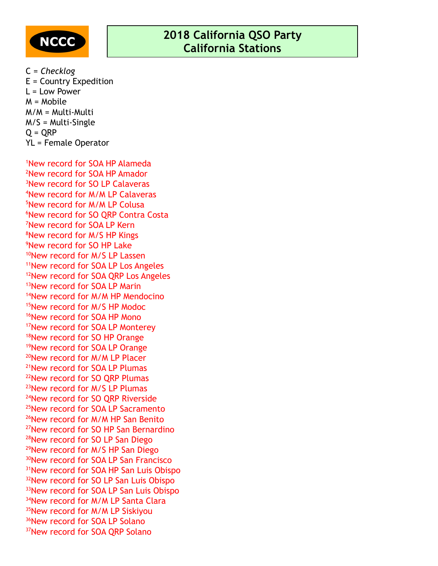

C = *Checklog* E = Country Expedition L = Low Power M = Mobile M/M = Multi-Multi M/S = Multi-Single  $Q = QRP$ YL = Female Operator

New record for SOA HP Alameda New record for SOA HP Amador New record for SO LP Calaveras New record for M/M LP Calaveras New record for M/M LP Colusa <sup>6</sup>New record for SO ORP Contra Costa New record for SOA LP Kern New record for M/S HP Kings New record for SO HP Lake <sup>10</sup>New record for M/S LP Lassen New record for SOA LP Los Angeles <sup>12</sup>New record for SOA QRP Los Angeles New record for SOA LP Marin New record for M/M HP Mendocino New record for M/S HP Modoc <sup>16</sup>New record for SOA HP Mono New record for SOA LP Monterey <sup>18</sup>New record for SO HP Orange New record for SOA LP Orange New record for M/M LP Placer New record for SOA LP Plumas New record for SO QRP Plumas New record for M/S LP Plumas New record for SO QRP Riverside New record for SOA LP Sacramento <sup>26</sup>New record for M/M HP San Benito New record for SO HP San Bernardino New record for SO LP San Diego New record for M/S HP San Diego New record for SOA LP San Francisco New record for SOA HP San Luis Obispo <sup>32</sup>New record for SO LP San Luis Obispo <sup>33</sup>New record for SOA LP San Luis Obispo <sup>34</sup>New record for M/M LP Santa Clara <sup>35</sup>New record for M/M LP Siskiyou <sup>36</sup>New record for SOA LP Solano New record for SOA QRP Solano